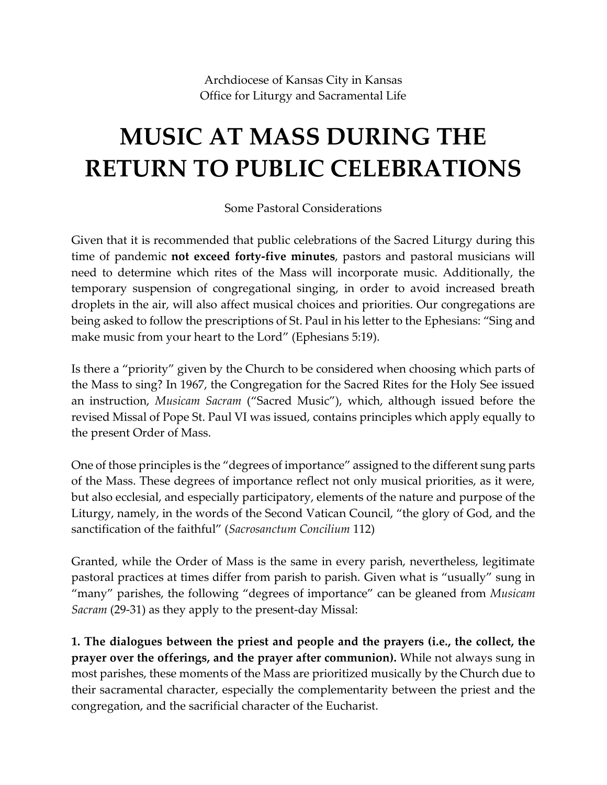Archdiocese of Kansas City in Kansas Office for Liturgy and Sacramental Life

## **MUSIC AT MASS DURING THE RETURN TO PUBLIC CELEBRATIONS**

Some Pastoral Considerations

Given that it is recommended that public celebrations of the Sacred Liturgy during this time of pandemic **not exceed forty-five minutes**, pastors and pastoral musicians will need to determine which rites of the Mass will incorporate music. Additionally, the temporary suspension of congregational singing, in order to avoid increased breath droplets in the air, will also affect musical choices and priorities. Our congregations are being asked to follow the prescriptions of St. Paul in his letter to the Ephesians: "Sing and make music from your heart to the Lord" (Ephesians 5:19).

Is there a "priority" given by the Church to be considered when choosing which parts of the Mass to sing? In 1967, the Congregation for the Sacred Rites for the Holy See issued an instruction, *Musicam Sacram* ("Sacred Music"), which, although issued before the revised Missal of Pope St. Paul VI was issued, contains principles which apply equally to the present Order of Mass.

One of those principles is the "degrees of importance" assigned to the different sung parts of the Mass. These degrees of importance reflect not only musical priorities, as it were, but also ecclesial, and especially participatory, elements of the nature and purpose of the Liturgy, namely, in the words of the Second Vatican Council, "the glory of God, and the sanctification of the faithful" (*Sacrosanctum Concilium* 112)

Granted, while the Order of Mass is the same in every parish, nevertheless, legitimate pastoral practices at times differ from parish to parish. Given what is "usually" sung in "many" parishes, the following "degrees of importance" can be gleaned from *Musicam Sacram* (29-31) as they apply to the present-day Missal:

**1. The dialogues between the priest and people and the prayers (i.e., the collect, the prayer over the offerings, and the prayer after communion).** While not always sung in most parishes, these moments of the Mass are prioritized musically by the Church due to their sacramental character, especially the complementarity between the priest and the congregation, and the sacrificial character of the Eucharist.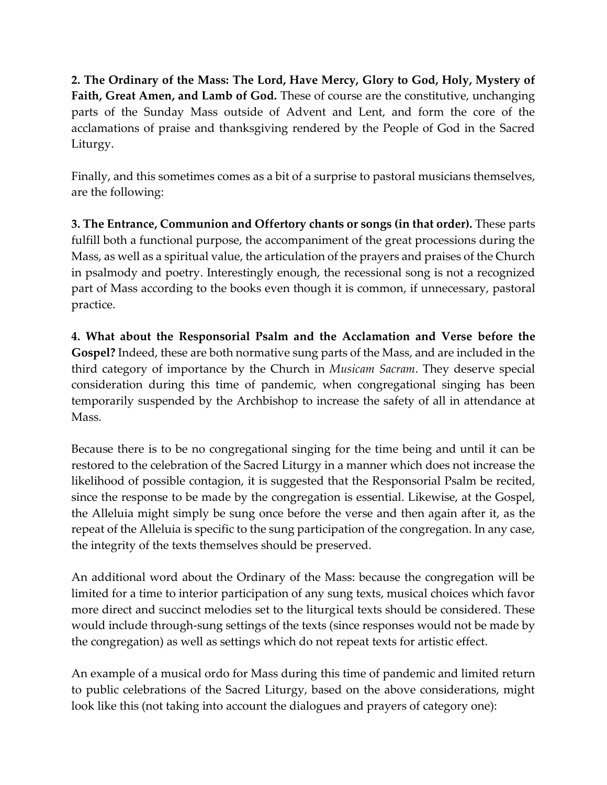**2. The Ordinary of the Mass: The Lord, Have Mercy, Glory to God, Holy, Mystery of Faith, Great Amen, and Lamb of God.** These of course are the constitutive, unchanging parts of the Sunday Mass outside of Advent and Lent, and form the core of the acclamations of praise and thanksgiving rendered by the People of God in the Sacred Liturgy.

Finally, and this sometimes comes as a bit of a surprise to pastoral musicians themselves, are the following:

**3. The Entrance, Communion and Offertory chants or songs (in that order).** These parts fulfill both a functional purpose, the accompaniment of the great processions during the Mass, as well as a spiritual value, the articulation of the prayers and praises of the Church in psalmody and poetry. Interestingly enough, the recessional song is not a recognized part of Mass according to the books even though it is common, if unnecessary, pastoral practice.

**4. What about the Responsorial Psalm and the Acclamation and Verse before the Gospel?** Indeed, these are both normative sung parts of the Mass, and are included in the third category of importance by the Church in *Musicam Sacram*. They deserve special consideration during this time of pandemic, when congregational singing has been temporarily suspended by the Archbishop to increase the safety of all in attendance at Mass.

Because there is to be no congregational singing for the time being and until it can be restored to the celebration of the Sacred Liturgy in a manner which does not increase the likelihood of possible contagion, it is suggested that the Responsorial Psalm be recited, since the response to be made by the congregation is essential. Likewise, at the Gospel, the Alleluia might simply be sung once before the verse and then again after it, as the repeat of the Alleluia is specific to the sung participation of the congregation. In any case, the integrity of the texts themselves should be preserved.

An additional word about the Ordinary of the Mass: because the congregation will be limited for a time to interior participation of any sung texts, musical choices which favor more direct and succinct melodies set to the liturgical texts should be considered. These would include through-sung settings of the texts (since responses would not be made by the congregation) as well as settings which do not repeat texts for artistic effect.

An example of a musical ordo for Mass during this time of pandemic and limited return to public celebrations of the Sacred Liturgy, based on the above considerations, might look like this (not taking into account the dialogues and prayers of category one):